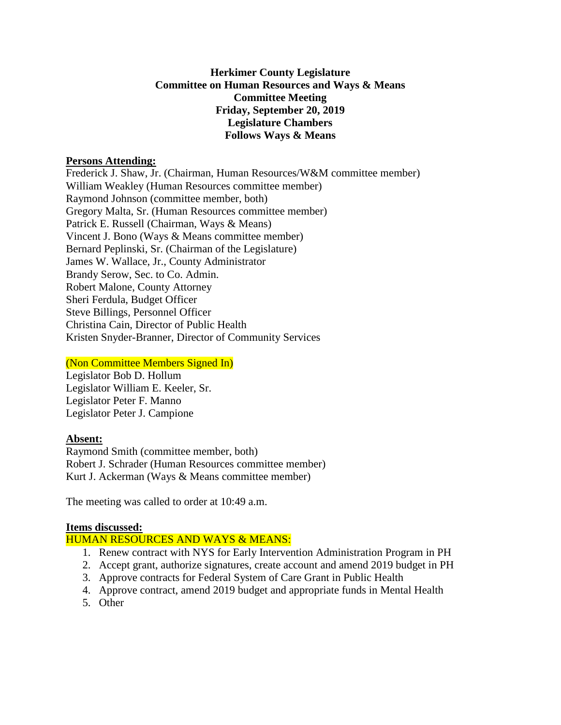# **Herkimer County Legislature Committee on Human Resources and Ways & Means Committee Meeting Friday, September 20, 2019 Legislature Chambers Follows Ways & Means**

### **Persons Attending:**

Frederick J. Shaw, Jr. (Chairman, Human Resources/W&M committee member) William Weakley (Human Resources committee member) Raymond Johnson (committee member, both) Gregory Malta, Sr. (Human Resources committee member) Patrick E. Russell (Chairman, Ways & Means) Vincent J. Bono (Ways & Means committee member) Bernard Peplinski, Sr. (Chairman of the Legislature) James W. Wallace, Jr., County Administrator Brandy Serow, Sec. to Co. Admin. Robert Malone, County Attorney Sheri Ferdula, Budget Officer Steve Billings, Personnel Officer Christina Cain, Director of Public Health Kristen Snyder-Branner, Director of Community Services

### (Non Committee Members Signed In)

Legislator Bob D. Hollum Legislator William E. Keeler, Sr. Legislator Peter F. Manno Legislator Peter J. Campione

# **Absent:**

Raymond Smith (committee member, both) Robert J. Schrader (Human Resources committee member) Kurt J. Ackerman (Ways & Means committee member)

The meeting was called to order at 10:49 a.m.

# **Items discussed:**

# HUMAN RESOURCES AND WAYS & MEANS:

- 1. Renew contract with NYS for Early Intervention Administration Program in PH
- 2. Accept grant, authorize signatures, create account and amend 2019 budget in PH
- 3. Approve contracts for Federal System of Care Grant in Public Health
- 4. Approve contract, amend 2019 budget and appropriate funds in Mental Health
- 5. Other